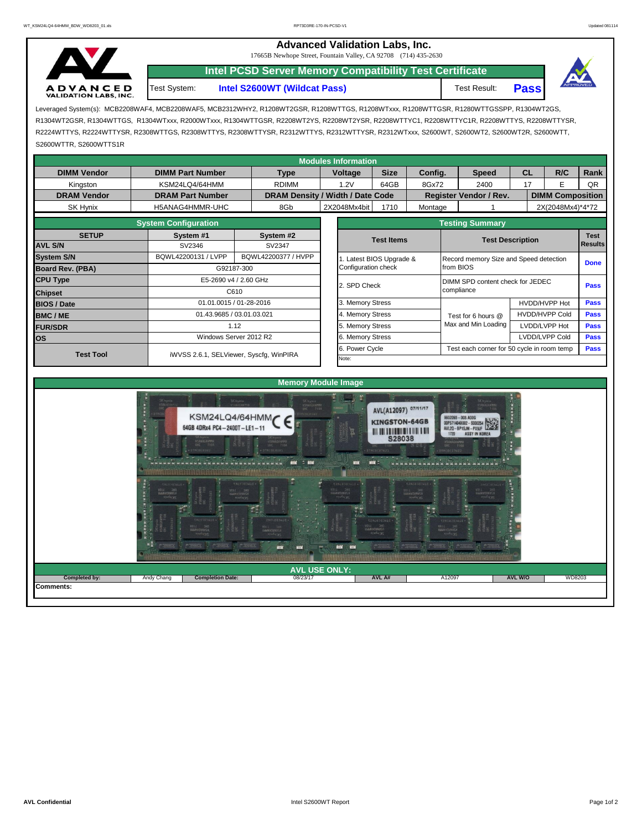## **Advanced Validation Labs, Inc.**

17665B Newhope Street, Fountain Valley, CA 92708 (714) 435-2630

**A D V A N C E D**<br>VALIDATION LABS, INC.

**Intel S2600WT (Wildcat Pass)** Test Result: **Pass Intel PCSD Server Memory Compatibility Test Certificate** Test System:



Leveraged System(s): MCB2208WAF4, MCB2208WAF5, MCB2312WHY2, R1208WT2GSR, R1208WTTGS, R1208WTxxx, R1208WTTGSR, R1280WTTGSSPP, R1304WT2GS, R1304WT2GSR, R1304WTTGS, R1304WTxxx, R2000WTxxx, R1304WTTGSR, R2208WT2YS, R2208WT2YSR, R2208WTTYC1, R2208WTTYC1R, R2208WTTYS, R2208WTTYSR, R2224WTTYS, R2224WTTYSR, R2308WTTGS, R2308WTTYS, R2308WTTYSR, R2312WTTYS, R2312WTTYSR, R2312WTxxx, S2600WT, S2600WT2, S2600WT2R, S2600WTT, S2600WTTR, S2600WTTS1R

| <b>Modules Information</b> |                             |                                         |                                  |                                                              |         |                                                |                              |                         |      |  |  |
|----------------------------|-----------------------------|-----------------------------------------|----------------------------------|--------------------------------------------------------------|---------|------------------------------------------------|------------------------------|-------------------------|------|--|--|
| <b>DIMM Vendor</b>         | <b>DIMM Part Number</b>     | <b>Type</b>                             | <b>Voltage</b>                   | <b>Size</b>                                                  | Config. | <b>Speed</b>                                   | <b>CL</b>                    | R/C                     | Rank |  |  |
| Kingston                   | KSM24LQ4/64HMM              | <b>RDIMM</b>                            | 1.2V                             | 64GB                                                         | 8Gx72   | 2400                                           | 17                           | Е                       | QR   |  |  |
| <b>DRAM Vendor</b>         | <b>DRAM Part Number</b>     |                                         | DRAM Density / Width / Date Code |                                                              |         | Register Vendor / Rev.                         |                              | <b>DIMM Composition</b> |      |  |  |
| SK Hynix                   | H5ANAG4HMMR-UHC             | 8Gb                                     | 2X2048Mx4bit                     | 1710                                                         | Montage |                                                |                              | 2X(2048Mx4)*4*72        |      |  |  |
|                            | <b>System Configuration</b> |                                         |                                  |                                                              |         | <b>Testing Summary</b>                         |                              |                         |      |  |  |
| <b>SETUP</b>               | System #1                   | System #2                               |                                  | <b>Test Items</b>                                            |         |                                                |                              | <b>Test</b>             |      |  |  |
| <b>AVL S/N</b>             | SV2346                      | SV2347                                  |                                  |                                                              |         | <b>Test Description</b><br><b>Results</b>      |                              |                         |      |  |  |
| <b>System S/N</b>          | BQWL42200131 / LVPP         | BQWL42200377 / HVPP                     |                                  | Latest BIOS Upgrade &                                        |         | Record memory Size and Speed detection         |                              |                         |      |  |  |
| Board Rev. (PBA)           |                             | G92187-300                              | Configuration check              |                                                              |         | from BIOS                                      |                              |                         |      |  |  |
| <b>CPU Type</b>            |                             | E5-2690 v4 / 2.60 GHz                   | 2. SPD Check                     |                                                              |         | DIMM SPD content check for JEDEC<br>compliance |                              |                         |      |  |  |
| <b>Chipset</b>             |                             | C610                                    |                                  |                                                              |         |                                                |                              |                         |      |  |  |
| <b>BIOS / Date</b>         |                             | 01.01.0015 / 01-28-2016                 | 3. Memory Stress                 |                                                              |         |                                                |                              | HVDD/HVPP Hot           |      |  |  |
| <b>BMC/ME</b>              |                             | 01.43.9685 / 03.01.03.021               | 4. Memory Stress                 |                                                              |         | Test for 6 hours @                             | <b>HVDD/HVPP Cold</b>        | Pass                    |      |  |  |
| <b>FUR/SDR</b>             |                             | 1.12                                    | 5. Memory Stress                 |                                                              |         | Max and Min Loading                            | LVDD/LVPP Hot<br><b>Pass</b> |                         |      |  |  |
| los                        |                             | Windows Server 2012 R2                  | 6. Memory Stress                 |                                                              |         |                                                |                              | LVDD/LVPP Cold          | Pass |  |  |
| <b>Test Tool</b>           |                             | iWVSS 2.6.1, SELViewer, Syscfq, WinPIRA |                                  | 6. Power Cycle<br>Test each corner for 50 cycle in room temp |         |                                                |                              |                         |      |  |  |
|                            |                             |                                         | Note:                            |                                                              |         |                                                |                              |                         |      |  |  |
|                            |                             |                                         |                                  |                                                              |         |                                                |                              |                         |      |  |  |